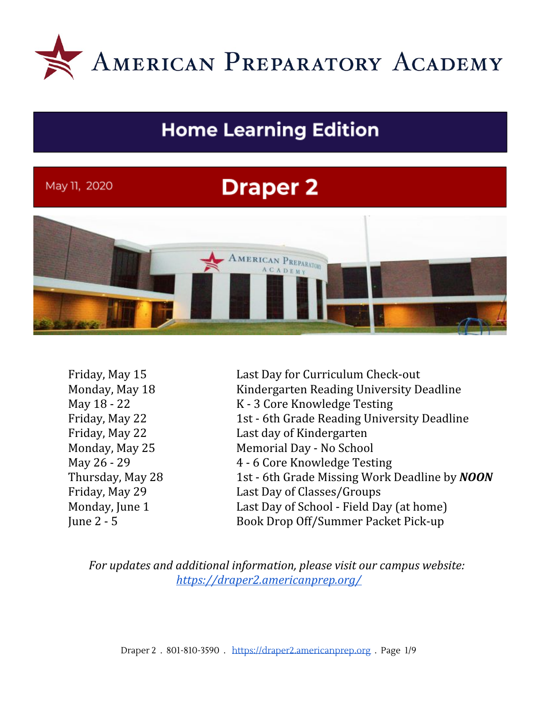

# **Home Learning Edition**

# May 11, 2020

# **Draper 2**



Friday, May 15 **Last Day for Curriculum Check-out** Monday, May 18 Kindergarten Reading University Deadline May 18 - 22 K - 3 Core Knowledge Testing Friday, May 22 1st - 6th Grade Reading University Deadline Friday, May 22 Last day of Kindergarten Monday, May 25 Memorial Day - No School May 26 - 29 4 - 6 Core Knowledge Testing Thursday, May 28 1st - 6th Grade Missing Work Deadline by *NOON* Friday, May 29 Last Day of Classes/Groups Monday, June 1 Last Day of School - Field Day (at home) June 2 - 5 Book Drop Off/Summer Packet Pick-up

*For updates and additional information, please visit our campus website: <https://draper2.americanprep.org/>*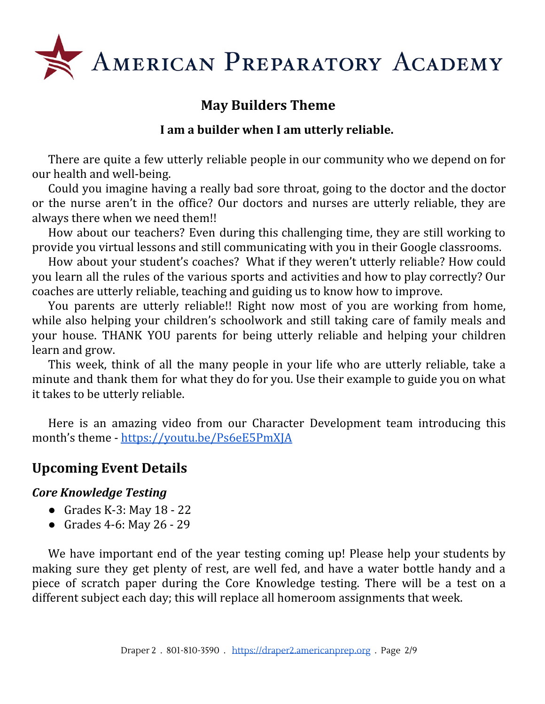

# **May Builders Theme**

# **I am a builder when I am utterly reliable.**

There are quite a few utterly reliable people in our community who we depend on for our health and well-being.

Could you imagine having a really bad sore throat, going to the doctor and the doctor or the nurse aren't in the office? Our doctors and nurses are utterly reliable, they are always there when we need them!!

How about our teachers? Even during this challenging time, they are still working to provide you virtual lessons and still communicating with you in their Google classrooms.

How about your student's coaches? What if they weren't utterly reliable? How could you learn all the rules of the various sports and activities and how to play correctly? Our coaches are utterly reliable, teaching and guiding us to know how to improve.

You parents are utterly reliable!! Right now most of you are working from home, while also helping your children's schoolwork and still taking care of family meals and your house. THANK YOU parents for being utterly reliable and helping your children learn and grow.

This week, think of all the many people in your life who are utterly reliable, take a minute and thank them for what they do for you. Use their example to guide you on what it takes to be utterly reliable.

Here is an amazing video from our Character Development team introducing this month's theme - <https://youtu.be/Ps6eE5PmXJA>

# **Upcoming Event Details**

## *Core Knowledge Testing*

- Grades K-3: May  $18 22$
- Grades 4-6: May 26 29

We have important end of the year testing coming up! Please help your students by making sure they get plenty of rest, are well fed, and have a water bottle handy and a piece of scratch paper during the Core Knowledge testing. There will be a test on a different subject each day; this will replace all homeroom assignments that week.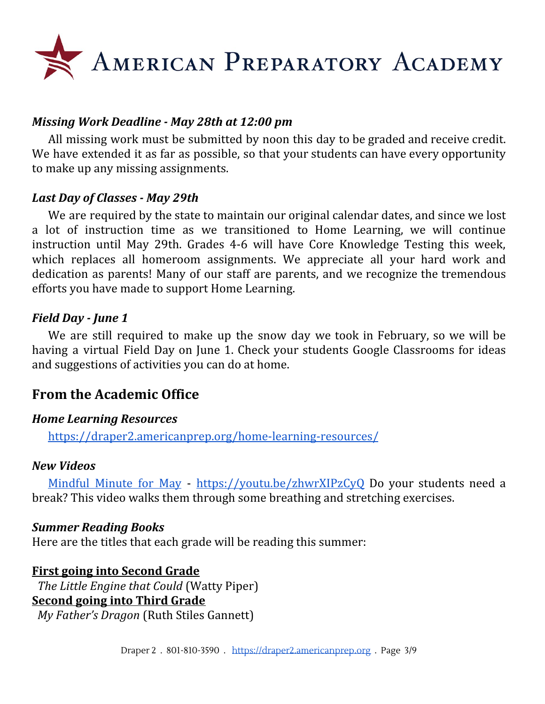

### *Missing Work Deadline - May 28th at 12:00 pm*

All missing work must be submitted by noon this day to be graded and receive credit. We have extended it as far as possible, so that your students can have every opportunity to make up any missing assignments.

#### *Last Day of Classes - May 29th*

We are required by the state to maintain our original calendar dates, and since we lost a lot of instruction time as we transitioned to Home Learning, we will continue instruction until May 29th. Grades 4-6 will have Core Knowledge Testing this week, which replaces all homeroom assignments. We appreciate all your hard work and dedication as parents! Many of our staff are parents, and we recognize the tremendous efforts you have made to support Home Learning.

#### *Field Day - June 1*

We are still required to make up the snow day we took in February, so we will be having a virtual Field Day on June 1. Check your students Google Classrooms for ideas and suggestions of activities you can do at home.

# **From the Academic Office**

#### *Home Learning Resources*

<https://draper2.americanprep.org/home-learning-resources/>

#### *New Videos*

[Mindful](https://youtu.be/zhwrXIPzCyQ) Minute for May - <https://youtu.be/zhwrXIPzCyQ> Do your students need a break? This video walks them through some breathing and stretching exercises.

#### *Summer Reading Books*

Here are the titles that each grade will be reading this summer:

#### **First going into Second Grade** *The Little Engine that Could* (Watty Piper) **Second going into Third Grade** *My Father's Dragon* (Ruth Stiles Gannett)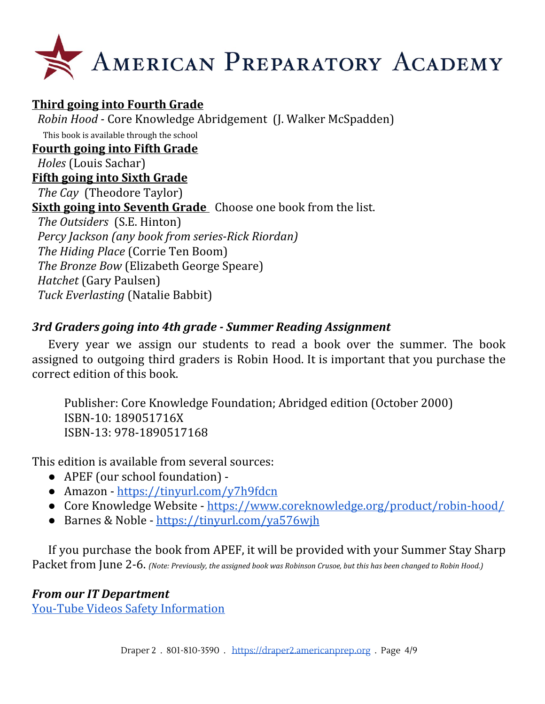

**Third going into Fourth Grade** *Robin Hood -* Core Knowledge Abridgement (J. Walker McSpadden) This book is available through the school **Fourth going into Fifth Grade** *Holes* (Louis Sachar) **Fifth going into Sixth Grade** *The Cay* (Theodore Taylor) **Sixth going into Seventh Grade** Choose one book from the list. *The Outsiders* (S.E. Hinton) *Percy Jackson (any book from series-Rick Riordan) The Hiding Place* (Corrie Ten Boom) *The Bronze Bow* (Elizabeth George Speare) *Hatchet* (Gary Paulsen) *Tuck Everlasting* (Natalie Babbit)

# *3rd Graders going into 4th grade - Summer Reading Assignment*

Every year we assign our students to read a book over the summer. The book assigned to outgoing third graders is Robin Hood. It is important that you purchase the correct edition of this book.

Publisher: Core Knowledge Foundation; Abridged edition (October 2000) ISBN-10: 189051716X ISBN-13: 978-1890517168

This edition is available from several sources:

- APEF (our school foundation) -
- Amazon <https://tinyurl.com/y7h9fdcn>
- Core Knowledge Website <https://www.coreknowledge.org/product/robin-hood/>
- Barnes & Noble <https://tinyurl.com/ya576wjh>

If you purchase the book from APEF, it will be provided with your Summer Stay Sharp Packet from June 2-6. *(Note: Previously, the assigned book was Robinson Crusoe, but this has been changed to Robin Hood.)*

## *From our IT Department*

You-Tube Videos Safety [Information](https://blog.americanprep.org/blog/it-corner?utm_source=hs_email&utm_medium=email&utm_content=87318977&_hsenc=p2ANqtz-8xW3pNBnoa8Aj6qFAz6QVErKFB2O11vzR9cSKid6qOoHO7tHrUcM_T8uh3t673JfkdAz5FlSg3f9aVPtDM68M4oedfMQ&_hsmi=87318977)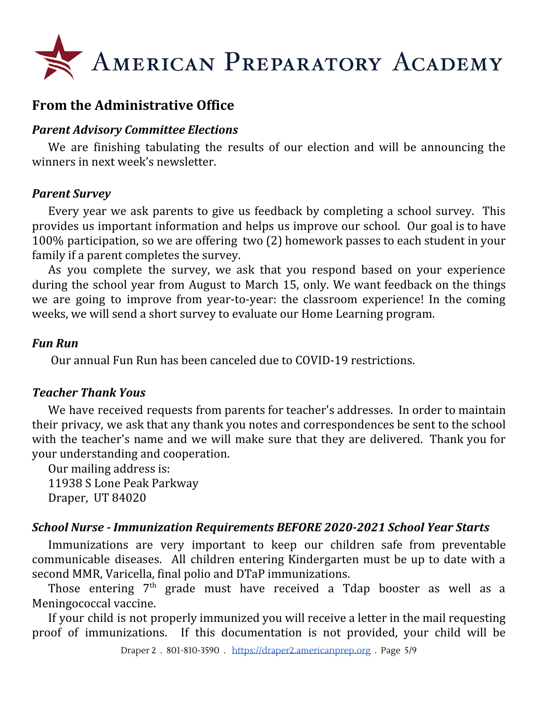

# **From the Administrative Office**

#### *Parent Advisory Committee Elections*

We are finishing tabulating the results of our election and will be announcing the winners in next week's newsletter.

#### *Parent Survey*

Every year we ask parents to give us feedback by completing a school survey. This provides us important information and helps us improve our school. Our goal is to have 100% participation, so we are offering two (2) homework passes to each student in your family if a parent completes the survey.

As you complete the survey, we ask that you respond based on your experience during the school year from August to March 15, only. We want feedback on the things we are going to improve from year-to-year: the classroom experience! In the coming weeks, we will send a short survey to evaluate our Home Learning program.

#### *Fun Run*

Our annual Fun Run has been canceled due to COVID-19 restrictions.

## *Teacher Thank Yous*

We have received requests from parents for teacher's addresses. In order to maintain their privacy, we ask that any thank you notes and correspondences be sent to the school with the teacher's name and we will make sure that they are delivered. Thank you for your understanding and cooperation.

Our mailing address is: 11938 S Lone Peak Parkway Draper, UT 84020

## *School Nurse - Immunization Requirements BEFORE 2020-2021 School Year Starts*

Immunizations are very important to keep our children safe from preventable communicable diseases. All children entering Kindergarten must be up to date with a second MMR, Varicella, final polio and DTaP immunizations.

Those entering 7<sup>th</sup> grade must have received a Tdap booster as well as a Meningococcal vaccine.

If your child is not properly immunized you will receive a letter in the mail requesting proof of immunizations. If this documentation is not provided, your child will be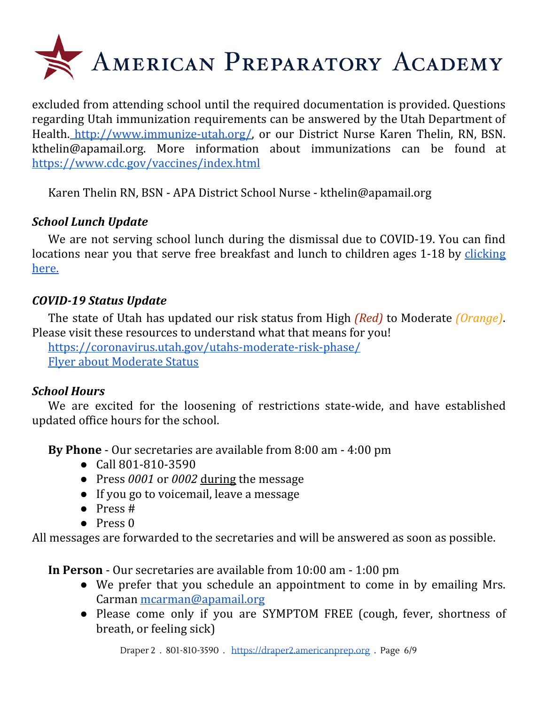

excluded from attending school until the required documentation is provided. Questions regarding Utah immunization requirements can be answered by the Utah Department of Health. [http://www.immunize-utah.org/,](http://www.immunize-utah.org/) or our District Nurse Karen Thelin, RN, BSN. kthelin@apamail.org. More information about immunizations can be found a[t](https://www.cdc.gov/vaccines/index.html) <https://www.cdc.gov/vaccines/index.html>

Karen Thelin RN, BSN - APA District School Nurse - kthelin@apamail.org

# *School Lunch Update*

We are not serving school lunch during the dismissal due to COVID-19. You can find locations near you that serve free breakfast and lunch to children ages 1-18 by [clicking](https://docs.google.com/document/d/1ipz9D2z5zWqOHSOToIYFT0FH7RpvSteVtLR9neRQq-E/edit?usp=sharing) [here.](https://docs.google.com/document/d/1ipz9D2z5zWqOHSOToIYFT0FH7RpvSteVtLR9neRQq-E/edit?usp=sharing)

# *COVID-19 Status Update*

The state of Utah has updated our risk status from High *(Red)* to Moderate *(Orange)*. Please visit these resources to understand what that means for you!

<https://coronavirus.utah.gov/utahs-moderate-risk-phase/> Flyer about [Moderate](https://coronavirus-download.utah.gov/business/Utahs_Moderate_Risk_Phase_Flyer_English.pdf) Status

## *School Hours*

We are excited for the loosening of restrictions state-wide, and have established updated office hours for the school.

**By Phone** - Our secretaries are available from 8:00 am - 4:00 pm

- Call 801-810-3590
- Press *0001* or *0002* during the message
- If you go to voicemail, leave a message
- Press #
- Press 0

All messages are forwarded to the secretaries and will be answered as soon as possible.

**In Person** - Our secretaries are available from 10:00 am - 1:00 pm

- We prefer that you schedule an appointment to come in by emailing Mrs. Carman [mcarman@apamail.org](mailto:mcarman@apamail.org)
- Please come only if you are SYMPTOM FREE (cough, fever, shortness of breath, or feeling sick)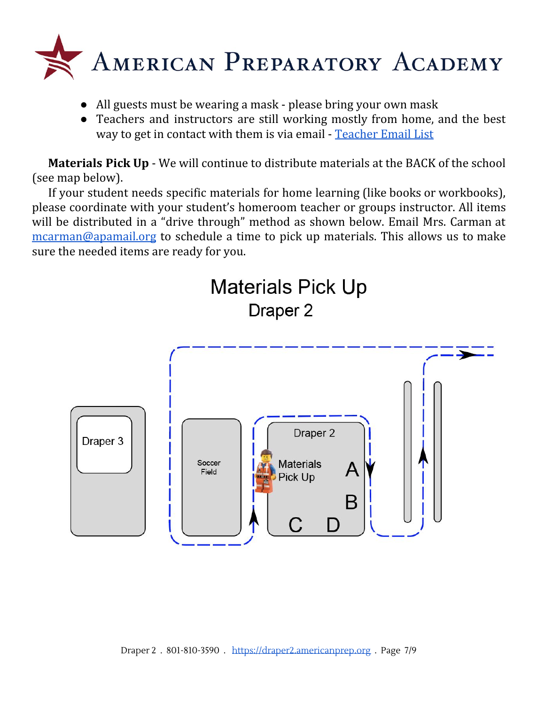

- All guests must be wearing a mask please bring your own mask
- Teachers and instructors are still working mostly from home, and the best way to get in contact with them is via email - [Teacher](https://draper2.americanprep.org/wp-content/uploads/sites/3/2020/03/D2-Staff-List-2019_2020.pdf) Email List

**Materials Pick Up** - We will continue to distribute materials at the BACK of the school (see map below).

If your student needs specific materials for home learning (like books or workbooks), please coordinate with your student's homeroom teacher or groups instructor. All items will be distributed in a "drive through" method as shown below. Email Mrs. Carman at [mcarman@apamail.org](mailto:mcarman@apamail.org) to schedule a time to pick up materials. This allows us to make sure the needed items are ready for you.

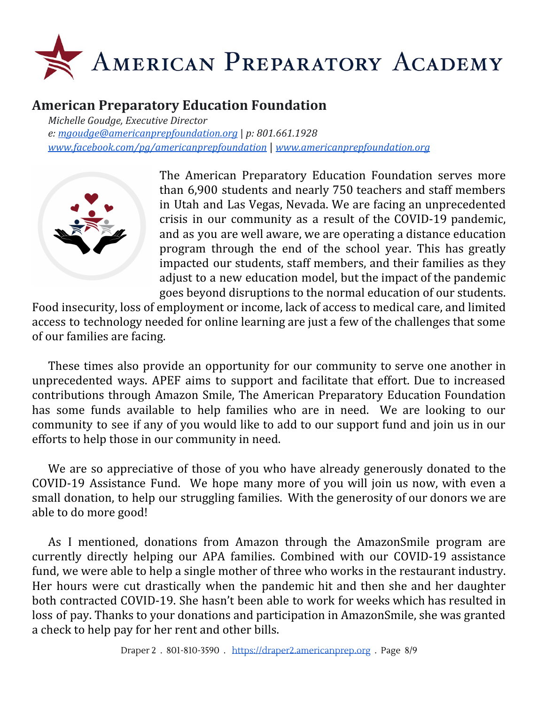

# **American Preparatory Education Foundation**

*Michelle Goudge, Executive Director e: [mgoudge@americanprepfoundation.org](mailto:mgoudge@americanprepfoundation.org)* | *p: 801.661.1928 [www.facebook.com/pg/americanprepfoundation](http://www.facebook.com/pg/americanprepfoundation)* | *[www.americanprepfoundation.org](http://www.americanprepfoundation.org/)*



The American Preparatory Education Foundation serves more than 6,900 students and nearly 750 teachers and staff members in Utah and Las Vegas, Nevada. We are facing an unprecedented crisis in our community as a result of the COVID-19 pandemic, and as you are well aware, we are operating a distance education program through the end of the school year. This has greatly impacted our students, staff members, and their families as they adjust to a new education model, but the impact of the pandemic goes beyond disruptions to the normal education of our students.

Food insecurity, loss of employment or income, lack of access to medical care, and limited access to technology needed for online learning are just a few of the challenges that some of our families are facing.

These times also provide an opportunity for our community to serve one another in unprecedented ways. APEF aims to support and facilitate that effort. Due to increased contributions through Amazon Smile, The American Preparatory Education Foundation has some funds available to help families who are in need. We are looking to our community to see if any of you would like to add to our support fund and join us in our efforts to help those in our community in need.

We are so appreciative of those of you who have already generously donated to the COVID-19 Assistance Fund. We hope many more of you will join us now, with even a small donation, to help our struggling families. With the generosity of our donors we are able to do more good!

As I mentioned, donations from Amazon through the AmazonSmile program are currently directly helping our APA families. Combined with our COVID-19 assistance fund, we were able to help a single mother of three who works in the restaurant industry. Her hours were cut drastically when the pandemic hit and then she and her daughter both contracted COVID-19. She hasn't been able to work for weeks which has resulted in loss of pay. Thanks to your donations and participation in AmazonSmile, she was granted a check to help pay for her rent and other bills.